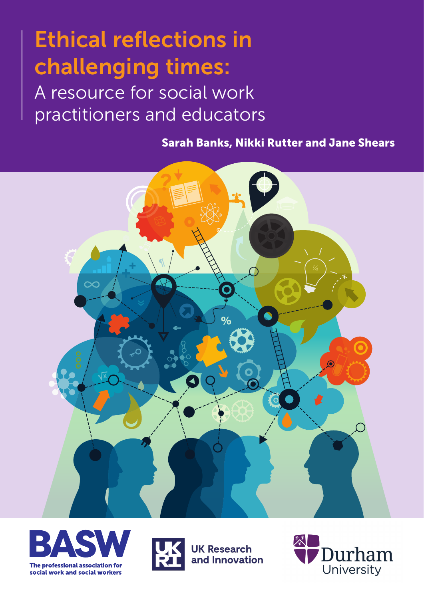**Ethical reflections in challenging times:** 

A resource for social work practitioners and educators

**Sarah Banks, Nikki Rutter and Jane Shears**







**UK Research** and Innovation

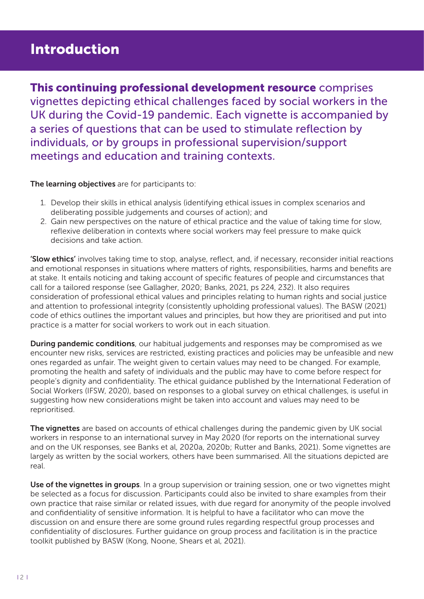# **Introduction**

**This continuing professional development resource** comprises vignettes depicting ethical challenges faced by social workers in the UK during the Covid-19 pandemic. Each vignette is accompanied by a series of questions that can be used to stimulate reflection by individuals, or by groups in professional supervision/support meetings and education and training contexts.

**The learning objectives** are for participants to:

- 1. Develop their skills in ethical analysis (identifying ethical issues in complex scenarios and deliberating possible judgements and courses of action); and
- 2. Gain new perspectives on the nature of ethical practice and the value of taking time for slow, reflexive deliberation in contexts where social workers may feel pressure to make quick decisions and take action.

**'Slow ethics'** involves taking time to stop, analyse, reflect, and, if necessary, reconsider initial reactions and emotional responses in situations where matters of rights, responsibilities, harms and benefits are at stake. It entails noticing and taking account of specific features of people and circumstances that call for a tailored response (see Gallagher, 2020; Banks, 2021, ps 224, 232). It also requires consideration of professional ethical values and principles relating to human rights and social justice and attention to professional integrity (consistently upholding professional values). The BASW (2021) code of ethics outlines the important values and principles, but how they are prioritised and put into practice is a matter for social workers to work out in each situation.

**During pandemic conditions**, our habitual judgements and responses may be compromised as we encounter new risks, services are restricted, existing practices and policies may be unfeasible and new ones regarded as unfair. The weight given to certain values may need to be changed. For example, promoting the health and safety of individuals and the public may have to come before respect for people's dignity and confidentiality. The ethical guidance published by the International Federation of Social Workers (IFSW, 2020), based on responses to a global survey on ethical challenges, is useful in suggesting how new considerations might be taken into account and values may need to be reprioritised.

**The vignettes** are based on accounts of ethical challenges during the pandemic given by UK social workers in response to an international survey in May 2020 (for reports on the international survey and on the UK responses, see Banks et al, 2020a, 2020b; Rutter and Banks, 2021). Some vignettes are largely as written by the social workers, others have been summarised. All the situations depicted are real.

**Use of the vignettes in groups**. In a group supervision or training session, one or two vignettes might be selected as a focus for discussion. Participants could also be invited to share examples from their own practice that raise similar or related issues, with due regard for anonymity of the people involved and confidentiality of sensitive information. It is helpful to have a facilitator who can move the discussion on and ensure there are some ground rules regarding respectful group processes and confidentiality of disclosures. Further guidance on group process and facilitation is in the practice toolkit published by BASW (Kong, Noone, Shears et al, 2021).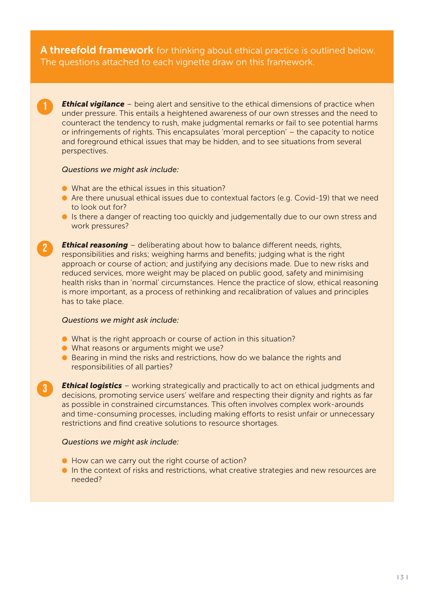**A threefold framework** for thinking about ethical practice is outlined below. The questions attached to each vignette draw on this framework.

**Ethical vigilance** – being alert and sensitive to the ethical dimensions of practice when under pressure. This entails a heightened awareness of our own stresses and the need to counteract the tendency to rush, make judgmental remarks or fail to see potential harms or infringements of rights. This encapsulates 'moral perception' – the capacity to notice and foreground ethical issues that may be hidden, and to see situations from several perspectives.

#### *Questions we might ask include:*

1

2

3

- $\bullet$  What are the ethical issues in this situation?
- Are there unusual ethical issues due to contextual factors (e.g. Covid-19) that we need to look out for?
- **In It is there a danger of reacting too quickly and judgementally due to our own stress and** work pressures?

**Ethical reasoning** – deliberating about how to balance different needs, rights, responsibilities and risks; weighing harms and benefits; judging what is the right approach or course of action; and justifying any decisions made. Due to new risks and reduced services, more weight may be placed on public good, safety and minimising health risks than in 'normal' circumstances. Hence the practice of slow, ethical reasoning is more important, as a process of rethinking and recalibration of values and principles has to take place.

#### *Questions we might ask include:*

- $\bullet$  What is the right approach or course of action in this situation?
- $\bullet$  What reasons or arguments might we use?
- **•** Bearing in mind the risks and restrictions, how do we balance the rights and responsibilities of all parties?

**Ethical logistics** – working strategically and practically to act on ethical judgments and decisions, promoting service users' welfare and respecting their dignity and rights as far as possible in constrained circumstances. This often involves complex work-arounds and time-consuming processes, including making efforts to resist unfair or unnecessary restrictions and find creative solutions to resource shortages.

#### *Questions we might ask include:*

- **I** How can we carry out the right course of action?
- In the context of risks and restrictions, what creative strategies and new resources are needed?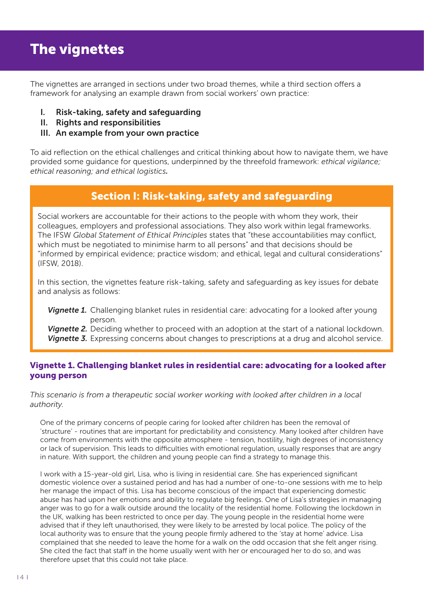# **The vignettes**

The vignettes are arranged in sections under two broad themes, while a third section offers a framework for analysing an example drawn from social workers' own practice:

- **I. Risk-taking, safety and safeguarding**
- **II. Rights and responsibilities**
- **III. An example from your own practice**

To aid reflection on the ethical challenges and critical thinking about how to navigate them, we have provided some guidance for questions, underpinned by the threefold framework: *ethical vigilance; ethical reasoning; and ethical logistics.*

## **Section I: Risk-taking, safety and safeguarding**

Social workers are accountable for their actions to the people with whom they work, their colleagues, employers and professional associations. They also work within legal frameworks. The IFSW *Global Statement of Ethical Principles* states that "these accountabilities may conflict, which must be negotiated to minimise harm to all persons" and that decisions should be "informed by empirical evidence; practice wisdom; and ethical, legal and cultural considerations" (IFSW, 2018).

In this section, the vignettes feature risk-taking, safety and safeguarding as key issues for debate and analysis as follows:

*Vignette 1.* Challenging blanket rules in residential care: advocating for a looked after young person.

*Vignette 2.* Deciding whether to proceed with an adoption at the start of a national lockdown. **Vignette 3.** Expressing concerns about changes to prescriptions at a drug and alcohol service.

## **Vignette 1. Challenging blanket rules in residential care: advocating for a looked after young person**

*This scenario is from a therapeutic social worker working with looked after children in a local authority.*

One of the primary concerns of people caring for looked after children has been the removal of 'structure' - routines that are important for predictability and consistency. Many looked after children have come from environments with the opposite atmosphere - tension, hostility, high degrees of inconsistency or lack of supervision. This leads to difficulties with emotional regulation, usually responses that are angry in nature. With support, the children and young people can find a strategy to manage this.

I work with a 15-year-old girl, Lisa, who is living in residential care. She has experienced significant domestic violence over a sustained period and has had a number of one-to-one sessions with me to help her manage the impact of this. Lisa has become conscious of the impact that experiencing domestic abuse has had upon her emotions and ability to regulate big feelings. One of Lisa's strategies in managing anger was to go for a walk outside around the locality of the residential home. Following the lockdown in the UK, walking has been restricted to once per day. The young people in the residential home were advised that if they left unauthorised, they were likely to be arrested by local police. The policy of the local authority was to ensure that the young people firmly adhered to the 'stay at home' advice. Lisa complained that she needed to leave the home for a walk on the odd occasion that she felt anger rising. She cited the fact that staff in the home usually went with her or encouraged her to do so, and was therefore upset that this could not take place.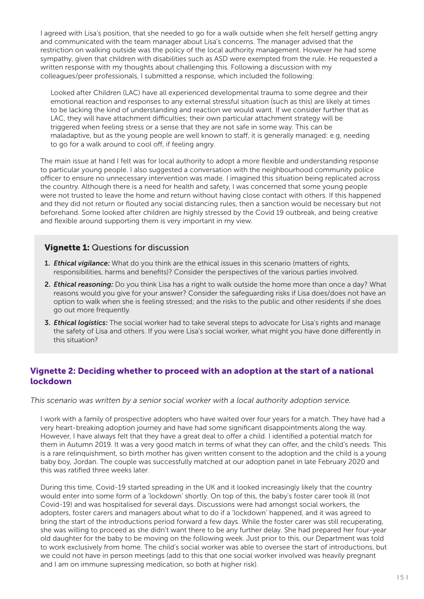I agreed with Lisa's position, that she needed to go for a walk outside when she felt herself getting angry and communicated with the team manager about Lisa's concerns. The manager advised that the restriction on walking outside was the policy of the local authority management. However he had some sympathy, given that children with disabilities such as ASD were exempted from the rule. He requested a written response with my thoughts about challenging this. Following a discussion with my colleagues/peer professionals, I submitted a response, which included the following:

Looked after Children (LAC) have all experienced developmental trauma to some degree and their emotional reaction and responses to any external stressful situation (such as this) are likely at times to be lacking the kind of understanding and reaction we would want. If we consider further that as LAC, they will have attachment difficulties; their own particular attachment strategy will be triggered when feeling stress or a sense that they are not safe in some way. This can be maladaptive, but as the young people are well known to staff, it is generally managed: e.g, needing to go for a walk around to cool off, if feeling angry.

The main issue at hand I felt was for local authority to adopt a more flexible and understanding response to particular young people. I also suggested a conversation with the neighbourhood community police officer to ensure no unnecessary intervention was made. I imagined this situation being replicated across the country. Although there is a need for health and safety, I was concerned that some young people were not trusted to leave the home and return without having close contact with others. If this happened and they did not return or flouted any social distancing rules, then a sanction would be necessary but not beforehand. Some looked after children are highly stressed by the Covid 19 outbreak, and being creative and flexible around supporting them is very important in my view.

#### **Vignette 1:** Questions for discussion

- **1.** *Ethical vigilance:* What do you think are the ethical issues in this scenario (matters of rights, responsibilities, harms and benefits)? Consider the perspectives of the various parties involved.
- **2.** *Ethical reasoning:* Do you think Lisa has a right to walk outside the home more than once a day? What reasons would you give for your answer? Consider the safeguarding risks if Lisa does/does not have an option to walk when she is feeling stressed; and the risks to the public and other residents if she does go out more frequently.
- **3.** *Ethical logistics:* The social worker had to take several steps to advocate for Lisa's rights and manage the safety of Lisa and others. If you were Lisa's social worker, what might you have done differently in this situation?

## **Vignette 2: Deciding whether to proceed with an adoption at the start of a national lockdown**

#### *This scenario was written by a senior social worker with a local authority adoption service.*

I work with a family of prospective adopters who have waited over four years for a match. They have had a very heart-breaking adoption journey and have had some significant disappointments along the way. However, I have always felt that they have a great deal to offer a child. I identified a potential match for them in Autumn 2019. It was a very good match in terms of what they can offer, and the child's needs. This is a rare relinquishment, so birth mother has given written consent to the adoption and the child is a young baby boy, Jordan. The couple was successfully matched at our adoption panel in late February 2020 and this was ratified three weeks later.

During this time, Covid-19 started spreading in the UK and it looked increasingly likely that the country would enter into some form of a 'lockdown' shortly. On top of this, the baby's foster carer took ill (not Covid-19) and was hospitalised for several days. Discussions were had amongst social workers, the adopters, foster carers and managers about what to do if a 'lockdown' happened, and it was agreed to bring the start of the introductions period forward a few days. While the foster carer was still recuperating, she was willing to proceed as she didn't want there to be any further delay. She had prepared her four-year old daughter for the baby to be moving on the following week. Just prior to this, our Department was told to work exclusively from home. The child's social worker was able to oversee the start of introductions, but we could not have in person meetings (add to this that one social worker involved was heavily pregnant and I am on immune supressing medication, so both at higher risk).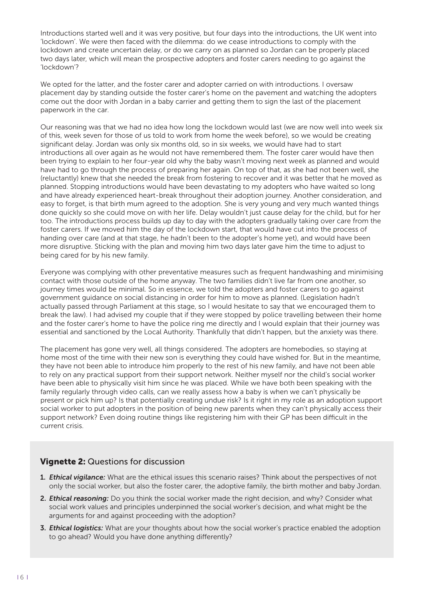Introductions started well and it was very positive, but four days into the introductions, the UK went into 'lockdown'. We were then faced with the dilemma: do we cease introductions to comply with the lockdown and create uncertain delay, or do we carry on as planned so Jordan can be properly placed two days later, which will mean the prospective adopters and foster carers needing to go against the 'lockdown'?

We opted for the latter, and the foster carer and adopter carried on with introductions. I oversaw placement day by standing outside the foster carer's home on the pavement and watching the adopters come out the door with Jordan in a baby carrier and getting them to sign the last of the placement paperwork in the car.

Our reasoning was that we had no idea how long the lockdown would last (we are now well into week six of this, week seven for those of us told to work from home the week before), so we would be creating significant delay. Jordan was only six months old, so in six weeks, we would have had to start introductions all over again as he would not have remembered them. The foster carer would have then been trying to explain to her four-year old why the baby wasn't moving next week as planned and would have had to go through the process of preparing her again. On top of that, as she had not been well, she (reluctantly) knew that she needed the break from fostering to recover and it was better that he moved as planned. Stopping introductions would have been devastating to my adopters who have waited so long and have already experienced heart-break throughout their adoption journey. Another consideration, and easy to forget, is that birth mum agreed to the adoption. She is very young and very much wanted things done quickly so she could move on with her life. Delay wouldn't just cause delay for the child, but for her too. The introductions process builds up day to day with the adopters gradually taking over care from the foster carers. If we moved him the day of the lockdown start, that would have cut into the process of handing over care (and at that stage, he hadn't been to the adopter's home yet), and would have been more disruptive. Sticking with the plan and moving him two days later gave him the time to adjust to being cared for by his new family.

Everyone was complying with other preventative measures such as frequent handwashing and minimising contact with those outside of the home anyway. The two families didn't live far from one another, so journey times would be minimal. So in essence, we told the adopters and foster carers to go against government guidance on social distancing in order for him to move as planned. (Legislation hadn't actually passed through Parliament at this stage, so I would hesitate to say that we encouraged them to break the law). I had advised my couple that if they were stopped by police travelling between their home and the foster carer's home to have the police ring me directly and I would explain that their journey was essential and sanctioned by the Local Authority. Thankfully that didn't happen, but the anxiety was there.

The placement has gone very well, all things considered. The adopters are homebodies, so staying at home most of the time with their new son is everything they could have wished for. But in the meantime, they have not been able to introduce him properly to the rest of his new family, and have not been able to rely on any practical support from their support network. Neither myself nor the child's social worker have been able to physically visit him since he was placed. While we have both been speaking with the family regularly through video calls, can we really assess how a baby is when we can't physically be present or pick him up? Is that potentially creating undue risk? Is it right in my role as an adoption support social worker to put adopters in the position of being new parents when they can't physically access their support network? Even doing routine things like registering him with their GP has been difficult in the current crisis.

## **Vignette 2:** Questions for discussion

- **1.** *Ethical vigilance:* What are the ethical issues this scenario raises? Think about the perspectives of not only the social worker, but also the foster carer, the adoptive family, the birth mother and baby Jordan.
- **2.** *Ethical reasoning:* Do you think the social worker made the right decision, and why? Consider what social work values and principles underpinned the social worker's decision, and what might be the arguments for and against proceeding with the adoption?
- **3.** *Ethical logistics:* What are your thoughts about how the social worker's practice enabled the adoption to go ahead? Would you have done anything differently?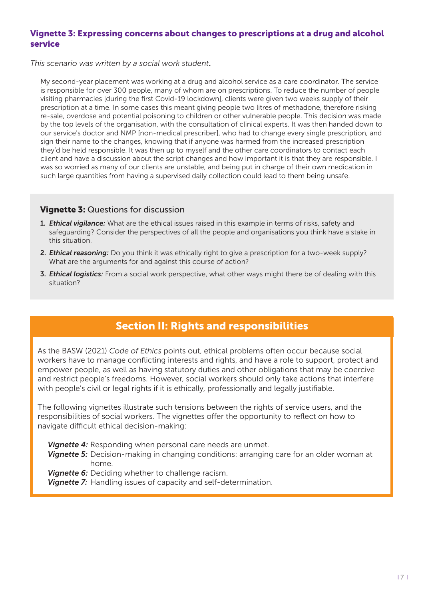## **Vignette 3: Expressing concerns about changes to prescriptions at a drug and alcohol service**

*This scenario was written by a social work student***.** 

My second-year placement was working at a drug and alcohol service as a care coordinator. The service is responsible for over 300 people, many of whom are on prescriptions. To reduce the number of people visiting pharmacies [during the first Covid-19 lockdown], clients were given two weeks supply of their prescription at a time. In some cases this meant giving people two litres of methadone, therefore risking re-sale, overdose and potential poisoning to children or other vulnerable people. This decision was made by the top levels of the organisation, with the consultation of clinical experts. It was then handed down to our service's doctor and NMP [non-medical prescriber], who had to change every single prescription, and sign their name to the changes, knowing that if anyone was harmed from the increased prescription they'd be held responsible. It was then up to myself and the other care coordinators to contact each client and have a discussion about the script changes and how important it is that they are responsible. I was so worried as many of our clients are unstable, and being put in charge of their own medication in such large quantities from having a supervised daily collection could lead to them being unsafe.

## **Vignette 3:** Questions for discussion

- **1.** *Ethical vigilance:* What are the ethical issues raised in this example in terms of risks, safety and safeguarding? Consider the perspectives of all the people and organisations you think have a stake in this situation.
- **2.** *Ethical reasoning:* Do you think it was ethically right to give a prescription for a two-week supply? What are the arguments for and against this course of action?
- **3.** *Ethical logistics:* From a social work perspective, what other ways might there be of dealing with this situation?

## **Section II: Rights and responsibilities**

As the BASW (2021) *Code of Ethics* points out, ethical problems often occur because social workers have to manage conflicting interests and rights, and have a role to support, protect and empower people, as well as having statutory duties and other obligations that may be coercive and restrict people's freedoms. However, social workers should only take actions that interfere with people's civil or legal rights if it is ethically, professionally and legally justifiable.

The following vignettes illustrate such tensions between the rights of service users, and the responsibilities of social workers. The vignettes offer the opportunity to reflect on how to navigate difficult ethical decision-making:

- *Vignette 4:* Responding when personal care needs are unmet.
- *Vignette 5:* Decision-making in changing conditions: arranging care for an older woman at home.
- *Vignette 6:* Deciding whether to challenge racism.
- *Vignette 7:* Handling issues of capacity and self-determination.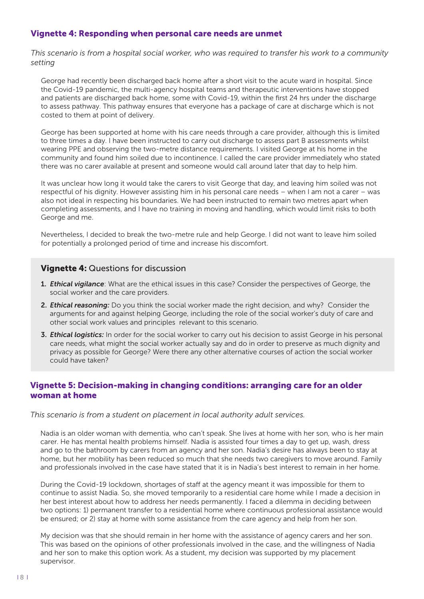### **Vignette 4: Responding when personal care needs are unmet**

*This scenario is from a hospital social worker, who was required to transfer his work to a community setting*

George had recently been discharged back home after a short visit to the acute ward in hospital. Since the Covid-19 pandemic, the multi-agency hospital teams and therapeutic interventions have stopped and patients are discharged back home, some with Covid-19, within the first 24 hrs under the discharge to assess pathway. This pathway ensures that everyone has a package of care at discharge which is not costed to them at point of delivery.

George has been supported at home with his care needs through a care provider, although this is limited to three times a day. I have been instructed to carry out discharge to assess part B assessments whilst wearing PPE and observing the two-metre distance requirements. I visited George at his home in the community and found him soiled due to incontinence. I called the care provider immediately who stated there was no carer available at present and someone would call around later that day to help him.

It was unclear how long it would take the carers to visit George that day, and leaving him soiled was not respectful of his dignity. However assisting him in his personal care needs – when I am not a carer – was also not ideal in respecting his boundaries. We had been instructed to remain two metres apart when completing assessments, and I have no training in moving and handling, which would limit risks to both George and me.

Nevertheless, I decided to break the two-metre rule and help George. I did not want to leave him soiled for potentially a prolonged period of time and increase his discomfort.

#### **Vignette 4:** Questions for discussion

- **1.** *Ethical vigilance*: What are the ethical issues in this case? Consider the perspectives of George, the social worker and the care providers.
- **2.** *Ethical reasoning:* Do you think the social worker made the right decision, and why? Consider the arguments for and against helping George, including the role of the social worker's duty of care and other social work values and principles relevant to this scenario.
- **3.** *Ethical logistics:* In order for the social worker to carry out his decision to assist George in his personal care needs, what might the social worker actually say and do in order to preserve as much dignity and privacy as possible for George? Were there any other alternative courses of action the social worker could have taken?

## **Vignette 5: Decision-making in changing conditions: arranging care for an older woman at home**

#### *This scenario is from a student on placement in local authority adult services.*

Nadia is an older woman with dementia, who can't speak. She lives at home with her son, who is her main carer. He has mental health problems himself. Nadia is assisted four times a day to get up, wash, dress and go to the bathroom by carers from an agency and her son. Nadia's desire has always been to stay at home, but her mobility has been reduced so much that she needs two caregivers to move around. Family and professionals involved in the case have stated that it is in Nadia's best interest to remain in her home.

During the Covid-19 lockdown, shortages of staff at the agency meant it was impossible for them to continue to assist Nadia. So, she moved temporarily to a residential care home while I made a decision in her best interest about how to address her needs permanently. I faced a dilemma in deciding between two options: 1) permanent transfer to a residential home where continuous professional assistance would be ensured; or 2) stay at home with some assistance from the care agency and help from her son.

My decision was that she should remain in her home with the assistance of agency carers and her son. This was based on the opinions of other professionals involved in the case, and the willingness of Nadia and her son to make this option work. As a student, my decision was supported by my placement supervisor.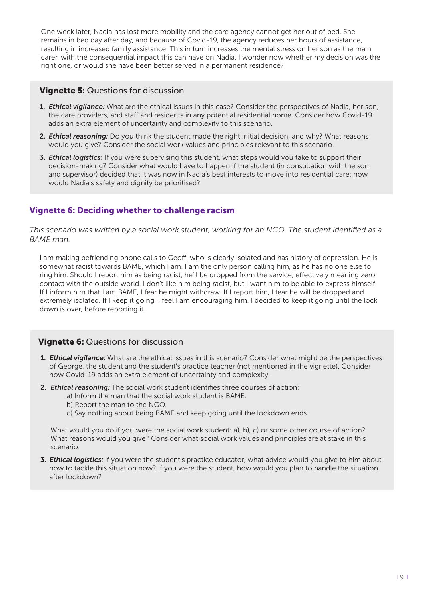One week later, Nadia has lost more mobility and the care agency cannot get her out of bed. She remains in bed day after day, and because of Covid-19, the agency reduces her hours of assistance, resulting in increased family assistance. This in turn increases the mental stress on her son as the main carer, with the consequential impact this can have on Nadia. I wonder now whether my decision was the right one, or would she have been better served in a permanent residence?

## **Vignette 5:** Questions for discussion

- **1.** *Ethical vigilance:* What are the ethical issues in this case? Consider the perspectives of Nadia, her son, the care providers, and staff and residents in any potential residential home. Consider how Covid-19 adds an extra element of uncertainty and complexity to this scenario.
- **2.** *Ethical reasoning:* Do you think the student made the right initial decision, and why? What reasons would you give? Consider the social work values and principles relevant to this scenario.
- **3.** *Ethical logistics*: If you were supervising this student, what steps would you take to support their decision-making? Consider what would have to happen if the student (in consultation with the son and supervisor) decided that it was now in Nadia's best interests to move into residential care: how would Nadia's safety and dignity be prioritised?

## **Vignette 6: Deciding whether to challenge racism**

*This scenario was written by a social work student, working for an NGO. The student identified as a BAME man.* 

I am making befriending phone calls to Geoff, who is clearly isolated and has history of depression. He is somewhat racist towards BAME, which I am. I am the only person calling him, as he has no one else to ring him. Should I report him as being racist, he'll be dropped from the service, effectively meaning zero contact with the outside world. I don't like him being racist, but I want him to be able to express himself. If I inform him that I am BAME, I fear he might withdraw. If I report him, I fear he will be dropped and extremely isolated. If I keep it going, I feel I am encouraging him. I decided to keep it going until the lock down is over, before reporting it.

## **Vignette 6:** Questions for discussion

- **1.** *Ethical vigilance:* What are the ethical issues in this scenario? Consider what might be the perspectives of George, the student and the student's practice teacher (not mentioned in the vignette). Consider how Covid-19 adds an extra element of uncertainty and complexity.
- **2.** *Ethical reasoning:* The social work student identifies three courses of action:
	- a) Inform the man that the social work student is BAME.
	- b) Report the man to the NGO.
	- c) Say nothing about being BAME and keep going until the lockdown ends.

What would you do if you were the social work student: a), b), c) or some other course of action? What reasons would you give? Consider what social work values and principles are at stake in this scenario.

**3.** *Ethical logistics:* If you were the student's practice educator, what advice would you give to him about how to tackle this situation now? If you were the student, how would you plan to handle the situation after lockdown?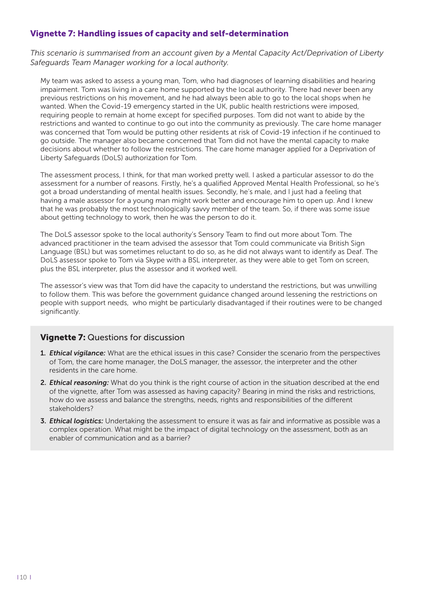## **Vignette 7: Handling issues of capacity and self-determination**

*This scenario is summarised from an account given by a Mental Capacity Act/Deprivation of Liberty Safeguards Team Manager working for a local authority.* 

My team was asked to assess a young man, Tom, who had diagnoses of learning disabilities and hearing impairment. Tom was living in a care home supported by the local authority. There had never been any previous restrictions on his movement, and he had always been able to go to the local shops when he wanted. When the Covid-19 emergency started in the UK, public health restrictions were imposed, requiring people to remain at home except for specified purposes. Tom did not want to abide by the restrictions and wanted to continue to go out into the community as previously. The care home manager was concerned that Tom would be putting other residents at risk of Covid-19 infection if he continued to go outside. The manager also became concerned that Tom did not have the mental capacity to make decisions about whether to follow the restrictions. The care home manager applied for a Deprivation of Liberty Safeguards (DoLS) authorization for Tom.

The assessment process, I think, for that man worked pretty well. I asked a particular assessor to do the assessment for a number of reasons. Firstly, he's a qualified Approved Mental Health Professional, so he's got a broad understanding of mental health issues. Secondly, he's male, and I just had a feeling that having a male assessor for a young man might work better and encourage him to open up. And I knew that he was probably the most technologically savvy member of the team. So, if there was some issue about getting technology to work, then he was the person to do it.

The DoLS assessor spoke to the local authority's Sensory Team to find out more about Tom. The advanced practitioner in the team advised the assessor that Tom could communicate via British Sign Language (BSL) but was sometimes reluctant to do so, as he did not always want to identify as Deaf. The DoLS assessor spoke to Tom via Skype with a BSL interpreter, as they were able to get Tom on screen, plus the BSL interpreter, plus the assessor and it worked well.

The assessor's view was that Tom did have the capacity to understand the restrictions, but was unwilling to follow them. This was before the government guidance changed around lessening the restrictions on people with support needs, who might be particularly disadvantaged if their routines were to be changed significantly.

#### **Vignette 7:** Questions for discussion

- **1.** *Ethical vigilance:* What are the ethical issues in this case? Consider the scenario from the perspectives of Tom, the care home manager, the DoLS manager, the assessor, the interpreter and the other residents in the care home.
- **2.** *Ethical reasoning:* What do you think is the right course of action in the situation described at the end of the vignette, after Tom was assessed as having capacity? Bearing in mind the risks and restrictions, how do we assess and balance the strengths, needs, rights and responsibilities of the different stakeholders?
- **3.** *Ethical logistics:* Undertaking the assessment to ensure it was as fair and informative as possible was a complex operation. What might be the impact of digital technology on the assessment, both as an enabler of communication and as a barrier?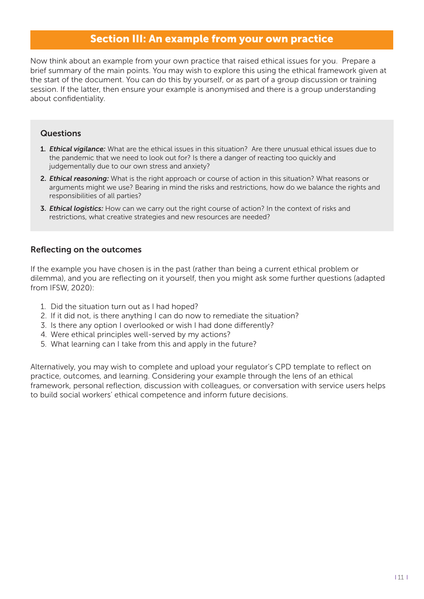## **Section III: An example from your own practice**

Now think about an example from your own practice that raised ethical issues for you. Prepare a brief summary of the main points. You may wish to explore this using the ethical framework given at the start of the document. You can do this by yourself, or as part of a group discussion or training session. If the latter, then ensure your example is anonymised and there is a group understanding about confidentiality.

### **Questions**

- **1.** *Ethical vigilance:* What are the ethical issues in this situation? Are there unusual ethical issues due to the pandemic that we need to look out for? Is there a danger of reacting too quickly and judgementally due to our own stress and anxiety?
- **2.** *Ethical reasoning:* What is the right approach or course of action in this situation? What reasons or arguments might we use? Bearing in mind the risks and restrictions, how do we balance the rights and responsibilities of all parties?
- **3.** *Ethical logistics:* How can we carry out the right course of action? In the context of risks and restrictions, what creative strategies and new resources are needed?

### **Reflecting on the outcomes**

If the example you have chosen is in the past (rather than being a current ethical problem or dilemma), and you are reflecting on it yourself, then you might ask some further questions (adapted from IFSW, 2020):

- 1. Did the situation turn out as I had hoped?
- 2. If it did not, is there anything I can do now to remediate the situation?
- 3. Is there any option I overlooked or wish I had done differently?
- 4. Were ethical principles well-served by my actions?
- 5. What learning can I take from this and apply in the future?

Alternatively, you may wish to complete and upload your regulator's CPD template to reflect on practice, outcomes, and learning. Considering your example through the lens of an ethical framework, personal reflection, discussion with colleagues, or conversation with service users helps to build social workers' ethical competence and inform future decisions.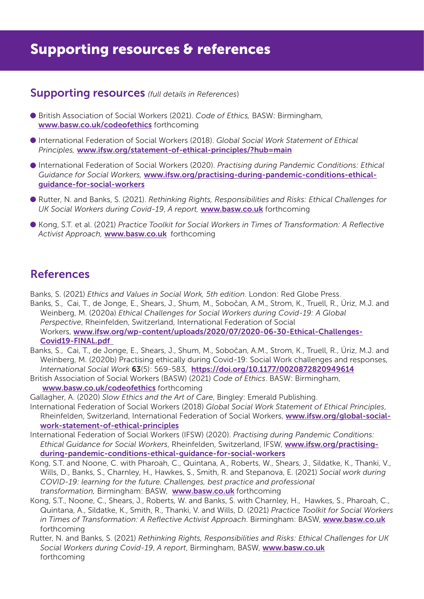# **Supporting resources & references**

## **Supporting resources** *(full details in References*)

- l British Association of Social Workers (2021). *Code of Ethics,* BASW: Birmingham, **<www.basw.co.uk/codeofethics>** forthcoming
- l International Federation of Social Workers (2018). *Global Social Work Statement of Ethical Principles,* **<www.ifsw.org/statement-of-ethical-principles/?hub=main>**
- l International Federation of Social Workers (2020). *Practising during Pandemic Conditions: Ethical Guidance for Social Workers,* **[www.ifsw.org/practising-during-pandemic-conditions-ethical](https://www.ifsw.org/practising-during-pandemic-conditions-ethical-guidance-for-social-workers)[guidance-for-social-workers](https://www.ifsw.org/practising-during-pandemic-conditions-ethical-guidance-for-social-workers)**
- l Rutter, N. and Banks, S. (2021). *Rethinking Rights, Responsibilities and Risks: Ethical Challenges for UK Social Workers during Covid-19*, *A report,* **[www.basw.co.uk](https://www.basw.co.uk)** forthcoming
- l Kong, S.T. et al. (2021) *Practice Toolkit for Social Workers in Times of Transformation: A Reflective Activist Approach,* **[www.basw.co.uk](https://www.basw.co.uk)** forthcoming

## **References**

Banks, S. (2021) *Ethics and Values in Social Work, 5th edition*. London: Red Globe Press.

- Banks, S., Cai, T., de Jonge, E., Shears, J., Shum, M., Sobočan, A.M., Strom, K., Truell, R., Úriz, M.J. and Weinberg, M. (2020a) *Ethical Challenges for Social Workers during Covid-19: A Global Perspective*, Rheinfelden, Switzerland, International Federation of Social Workers, **[www.ifsw.org/wp-content/uploads/2020/07/2020-06-30-Ethical-Challenges-](https://www.ifsw.org/wp-content/uploads/2020/07/2020-06-30-Ethical-Challenges-Covid19-FINAL.pdf)[Covid19-FINAL.pdf](https://www.ifsw.org/wp-content/uploads/2020/07/2020-06-30-Ethical-Challenges-Covid19-FINAL.pdf)**
- Banks, S., Cai, T., de Jonge, E., Shears, J., Shum, M., Sobočan, A.M., Strom, K., Truell, R., Úriz, M.J. and Weinberg, M. (2020b) Practising ethically during Covid-19: Social Work challenges and responses, *International Social Work* **63**(5): 569-583, **<https://doi.org/10.1177/0020872820949614>**
- British Association of Social Workers (BASW) (2021) *Code of Ethics*. BASW: Birmingham, **<www.basw.co.uk/codeofethics>** forthcoming

Gallagher, A. (2020) *Slow Ethics and the Art of Care*, Bingley: Emerald Publishing.

- International Federation of Social Workers (2018) *Global Social Work Statement of Ethical Principles*, Rheinfelden, Switzerland, International Federation of Social Workers, **[www.ifsw.org/global-social](https://www.ifsw.org/global-social-work-statement-of-ethical-principles)[work-statement-of-ethical-principles](https://www.ifsw.org/global-social-work-statement-of-ethical-principles)**
- International Federation of Social Workers (IFSW) (2020). *Practising during Pandemic Conditions: Ethical Guidance for Social Workers*, Rheinfelden, Switzerland, IFSW, **[www.ifsw.org/practising](https://www.ifsw.org/practising-during-pandemic-conditions-ethical-guidance-for-social-workers)[during-pandemic-conditions-ethical-guidance-for-social-workers](https://www.ifsw.org/practising-during-pandemic-conditions-ethical-guidance-for-social-workers)**
- Kong, S.T. and Noone, C. with Pharoah, C., Quintana, A., Roberts, W., Shears, J., Sildatke, K., Thanki, V., Wills, D., Banks, S., Charnley, H., Hawkes, S., Smith, R. and Stepanova, E. (2021) *Social work during COVID-19: learning for the future. Challenges, best practice and professional transformation,* Birmingham: BASW, **[www.basw.co.uk](https://www.basw.co.uk)** forthcoming
- Kong, S.T., Noone, C., Shears, J., Roberts, W. and Banks, S. with Charnley, H., Hawkes, S., Pharoah, C., Quintana, A., Sildatke, K., Smith, R., Thanki, V. and Wills, D. (2021) *Practice Toolkit for Social Workers in Times of Transformation: A Reflective Activist Approach*. Birmingham: BASW, **[www.basw.co.uk](https://www.basw.co.uk)** forthcoming
- Rutter, N. and Banks, S. (2021) *Rethinking Rights, Responsibilities and Risks: Ethical Challenges for UK Social Workers during Covid-19*, *A report*, Birmingham, BASW, **[www.basw.co.uk](https://www.basw.co.uk)** forthcoming